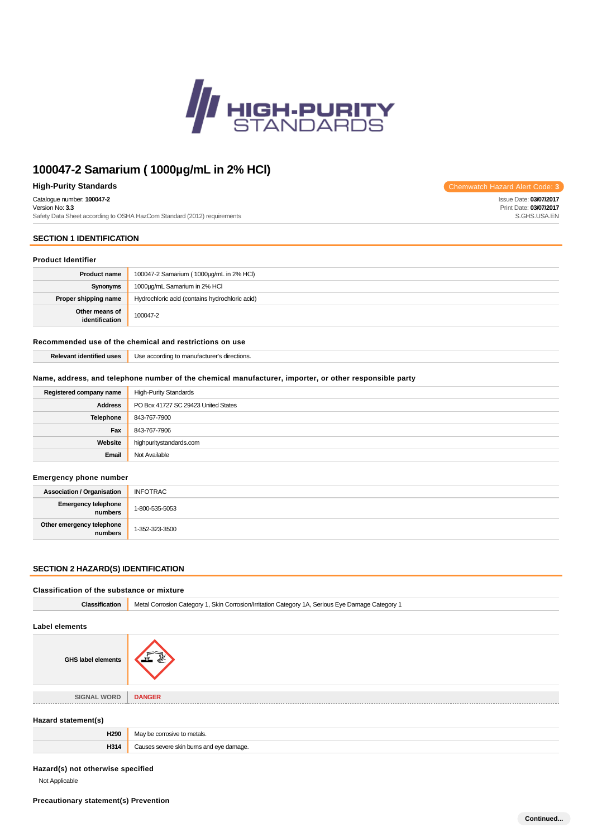

# **100047-2 Samarium ( 1000µg/mL in 2% HCl)**

### **High-Purity Standards** Chemwatch Hazard Alert Code: **3**

Catalogue number: **100047-2**

Version No: **3.3** Safety Data Sheet according to OSHA HazCom Standard (2012) requirements

# **SECTION 1 IDENTIFICATION**

# **Product Identifier**

| <b>Product name</b>              | 100047-2 Samarium (1000µg/mL in 2% HCl)        |
|----------------------------------|------------------------------------------------|
| Synonyms                         | 1000µg/mL Samarium in 2% HCI                   |
| Proper shipping name             | Hydrochloric acid (contains hydrochloric acid) |
| Other means of<br>identification | 100047-2                                       |

### **Recommended use of the chemical and restrictions on use**

**Relevant identified uses** Use according to manufacturer's directions.

### **Name, address, and telephone number of the chemical manufacturer, importer, or other responsible party**

| Registered company name | <b>High-Purity Standards</b>        |
|-------------------------|-------------------------------------|
| <b>Address</b>          | PO Box 41727 SC 29423 United States |
| <b>Telephone</b>        | 843-767-7900                        |
| Fax                     | 843-767-7906                        |
| Website                 | highpuritystandards.com             |
| Email                   | Not Available                       |

### **Emergency phone number**

| <b>Association / Organisation</b>    | <b>INFOTRAC</b> |
|--------------------------------------|-----------------|
| Emergency telephone<br>numbers       | 1-800-535-5053  |
| Other emergency telephone<br>numbers | 1-352-323-3500  |

### **SECTION 2 HAZARD(S) IDENTIFICATION**

| Classification of the substance or mixture |                                                                                                  |
|--------------------------------------------|--------------------------------------------------------------------------------------------------|
| <b>Classification</b>                      | Metal Corrosion Category 1, Skin Corrosion/Irritation Category 1A, Serious Eye Damage Category 1 |
| <b>Label elements</b>                      |                                                                                                  |
| <b>GHS label elements</b>                  |                                                                                                  |
| <b>SIGNAL WORD</b>                         | <b>DANGER</b>                                                                                    |
| Hazard statement(s)                        |                                                                                                  |
| H <sub>290</sub>                           | May be corrosive to metals.                                                                      |
| H314                                       | Causes severe skin burns and eye damage.                                                         |
|                                            |                                                                                                  |

### **Hazard(s) not otherwise specified**

Not Applicable

Issue Date: **03/07/2017** Print Date: **03/07/2017** S.GHS.USA.EN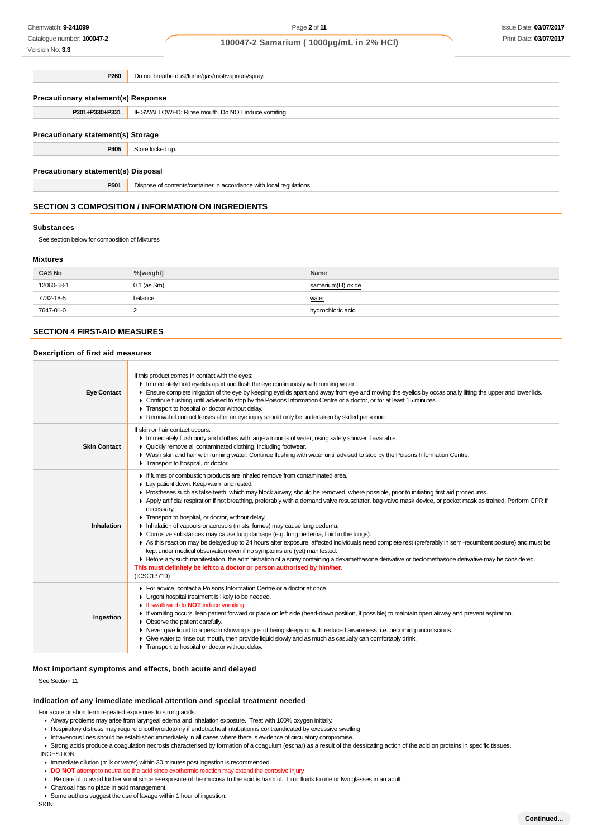Catalogue number: **100047-2** Version No: **3.3**

### Issue Date: **03/07/2017** Print Date: **03/07/2017**

### **100047-2 Samarium ( 1000µg/mL in 2% HCl)**

**P260** Do not breathe dust/fume/gas/mist/vapours/spray. **Precautionary statement(s) Response P301+P330+P331** IF SWALLOWED: Rinse mouth. Do NOT induce vomiting. **Precautionary statement(s) Storage P405** Store locked up. **Precautionary statement(s) Disposal P501** Dispose of contents/container in accordance with local regulations.

### **SECTION 3 COMPOSITION / INFORMATION ON INGREDIENTS**

#### **Substances**

See section below for composition of Mixtures

### **Mixtures**

| <b>CAS No</b> | %[weight]     | Name                |
|---------------|---------------|---------------------|
| 12060-58-1    | $0.1$ (as Sm) | samarium(III) oxide |
| 7732-18-5     | balance       | water               |
| 7647-01-0     | ∼             | hydrochloric acid   |

#### **SECTION 4 FIRST-AID MEASURES**

### **Description of first aid measures**

| <b>Eye Contact</b>  | If this product comes in contact with the eyes:<br>Inmediately hold eyelids apart and flush the eye continuously with running water.<br>Ensure complete irrigation of the eye by keeping eyelids apart and away from eye and moving the eyelids by occasionally lifting the upper and lower lids.<br>► Continue flushing until advised to stop by the Poisons Information Centre or a doctor, or for at least 15 minutes.<br>Transport to hospital or doctor without delay.<br>► Removal of contact lenses after an eye injury should only be undertaken by skilled personnel.                                                                                                                                                                                                                                                                                                                                                                                                                                                                                                                                                                                |
|---------------------|---------------------------------------------------------------------------------------------------------------------------------------------------------------------------------------------------------------------------------------------------------------------------------------------------------------------------------------------------------------------------------------------------------------------------------------------------------------------------------------------------------------------------------------------------------------------------------------------------------------------------------------------------------------------------------------------------------------------------------------------------------------------------------------------------------------------------------------------------------------------------------------------------------------------------------------------------------------------------------------------------------------------------------------------------------------------------------------------------------------------------------------------------------------|
| <b>Skin Contact</b> | If skin or hair contact occurs:<br>In Immediately flush body and clothes with large amounts of water, using safety shower if available.<br>• Quickly remove all contaminated clothing, including footwear.<br>► Wash skin and hair with running water. Continue flushing with water until advised to stop by the Poisons Information Centre.<br>Transport to hospital, or doctor.                                                                                                                                                                                                                                                                                                                                                                                                                                                                                                                                                                                                                                                                                                                                                                             |
| Inhalation          | If fumes or combustion products are inhaled remove from contaminated area.<br>Lay patient down. Keep warm and rested.<br>Prostheses such as false teeth, which may block airway, should be removed, where possible, prior to initiating first aid procedures.<br>Apply artificial respiration if not breathing, preferably with a demand valve resuscitator, bag-valve mask device, or pocket mask as trained. Perform CPR if<br>necessary.<br>Transport to hospital, or doctor, without delay.<br>Inhalation of vapours or aerosols (mists, fumes) may cause lung oedema.<br>• Corrosive substances may cause lung damage (e.g. lung oedema, fluid in the lungs).<br>As this reaction may be delayed up to 24 hours after exposure, affected individuals need complete rest (preferably in semi-recumbent posture) and must be<br>kept under medical observation even if no symptoms are (yet) manifested.<br>Effore any such manifestation, the administration of a spray containing a dexamethasone derivative or beclomethasone derivative may be considered.<br>This must definitely be left to a doctor or person authorised by him/her.<br>(ICSC13719) |
| Ingestion           | For advice, contact a Poisons Information Centre or a doctor at once.<br>• Urgent hospital treatment is likely to be needed.<br>If swallowed do <b>NOT</b> induce vomiting.<br>F If vomiting occurs, lean patient forward or place on left side (head-down position, if possible) to maintain open airway and prevent aspiration.<br>$\triangleright$ Observe the patient carefully.<br>► Never give liquid to a person showing signs of being sleepy or with reduced awareness; i.e. becoming unconscious.<br>• Give water to rinse out mouth, then provide liquid slowly and as much as casualty can comfortably drink.<br>Transport to hospital or doctor without delay.                                                                                                                                                                                                                                                                                                                                                                                                                                                                                   |

### **Most important symptoms and effects, both acute and delayed**

See Section 11

# **Indication of any immediate medical attention and special treatment needed**

For acute or short term repeated exposures to strong acids:

- Airway problems may arise from laryngeal edema and inhalation exposure. Treat with 100% oxygen initially.
- Respiratory distress may require cricothyroidotomy if endotracheal intubation is contraindicated by excessive swelling
- Intravenous lines should be established immediately in all cases where there is evidence of circulatory compromise.
- ▶ Strong acids produce a coagulation necrosis characterised by formation of a coagulum (eschar) as a result of the dessicating action of the acid on proteins in specific tissues. INGESTION:
- **Immediate dilution (milk or water) within 30 minutes post ingestion is recommended.**
- **DO NOT** attempt to neutralise the acid since exothermic reaction may extend the corrosive injury.
- Be careful to avoid further vomit since re-exposure of the mucosa to the acid is harmful. Limit fluids to one or two glasses in an adult.
- Charcoal has no place in acid management.
- Some authors suggest the use of lavage within 1 hour of ingestion.

SKIN: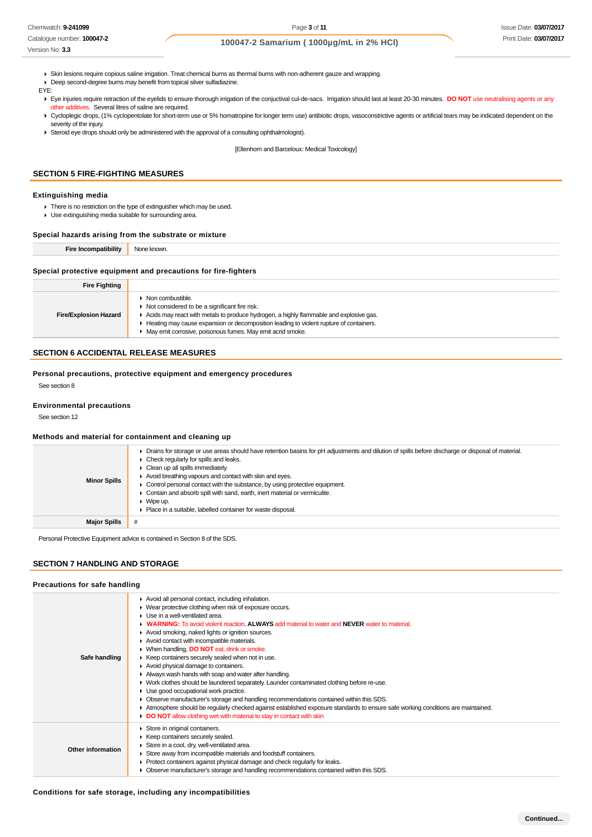Catalogue number: **100047-2**

# **100047-2 Samarium ( 1000µg/mL in 2% HCl)**

- Skin lesions require copious saline irrigation. Treat chemical burns as thermal burns with non-adherent gauze and wrapping.
- Deep second-degree burns may benefit from topical silver sulfadiazine.

EYE:

Version No: **3.3**

- ▶ Eye injuries require retraction of the eyelids to ensure thorough irrigation of the conjuctival cul-de-sacs. Irrigation should last at least 20-30 minutes. **DO NOT** use neutralising agents or any other additives. Several litres of saline are required.
- ▶ Cycloplegic drops, (1% cyclopentolate for short-term use or 5% homatropine for longer term use) antibiotic drops, vasoconstrictive agents or artificial tears may be indicated dependent on the severity of the injury.
- Steroid eye drops should only be administered with the approval of a consulting ophthalmologist).

[Ellenhorn and Barceloux: Medical Toxicology]

# **SECTION 5 FIRE-FIGHTING MEASURES**

### **Extinguishing media**

- There is no restriction on the type of extinguisher which may be used.
- Use extinguishing media suitable for surrounding area.

#### **Special hazards arising from the substrate or mixture**

**Fire Incompatibility** None known.

#### **Special protective equipment and precautions for fire-fighters**

| <b>Fire Fighting</b>         |                                                                                                                                                                                                                                                                                                                                                           |
|------------------------------|-----------------------------------------------------------------------------------------------------------------------------------------------------------------------------------------------------------------------------------------------------------------------------------------------------------------------------------------------------------|
| <b>Fire/Explosion Hazard</b> | $\triangleright$ Non combustible.<br>$\triangleright$ Not considered to be a significant fire risk.<br>Acids may react with metals to produce hydrogen, a highly flammable and explosive gas.<br>E Heating may cause expansion or decomposition leading to violent rupture of containers.<br>• May emit corrosive, poisonous fumes. May emit acrid smoke. |
|                              |                                                                                                                                                                                                                                                                                                                                                           |

# **SECTION 6 ACCIDENTAL RELEASE MEASURES**

**Personal precautions, protective equipment and emergency procedures**

See section 8

#### **Environmental precautions**

See section 12

#### **Methods and material for containment and cleaning up**

| <b>Minor Spills</b> | Drains for storage or use areas should have retention basins for pH adjustments and dilution of spills before discharge or disposal of material.<br>Check regularly for spills and leaks.<br>Clean up all spills immediately.<br>Avoid breathing vapours and contact with skin and eyes.<br>Control personal contact with the substance, by using protective equipment.<br>Contain and absorb spill with sand, earth, inert material or vermiculite.<br>Wipe up.<br>Place in a suitable, labelled container for waste disposal. |
|---------------------|---------------------------------------------------------------------------------------------------------------------------------------------------------------------------------------------------------------------------------------------------------------------------------------------------------------------------------------------------------------------------------------------------------------------------------------------------------------------------------------------------------------------------------|
| <b>Major Spills</b> |                                                                                                                                                                                                                                                                                                                                                                                                                                                                                                                                 |

Personal Protective Equipment advice is contained in Section 8 of the SDS.

# **SECTION 7 HANDLING AND STORAGE**

#### **Precautions for safe handling**

| Safe handling     | Avoid all personal contact, including inhalation.<br>▶ Wear protective clothing when risk of exposure occurs.<br>$\blacktriangleright$ Use in a well-ventilated area.<br><b>WARNING:</b> To avoid violent reaction. ALWAYS add material to water and NEVER water to material.<br>Avoid smoking, naked lights or ignition sources.<br>Avoid contact with incompatible materials.<br>▶ When handling, DO NOT eat, drink or smoke.<br>▶ Keep containers securely sealed when not in use.<br>Avoid physical damage to containers.<br>Always wash hands with soap and water after handling.<br>• Work clothes should be laundered separately. Launder contaminated clothing before re-use.<br>• Use good occupational work practice.<br>• Observe manufacturer's storage and handling recommendations contained within this SDS.<br>Atmosphere should be regularly checked against established exposure standards to ensure safe working conditions are maintained.<br>DO NOT allow clothing wet with material to stay in contact with skin |
|-------------------|----------------------------------------------------------------------------------------------------------------------------------------------------------------------------------------------------------------------------------------------------------------------------------------------------------------------------------------------------------------------------------------------------------------------------------------------------------------------------------------------------------------------------------------------------------------------------------------------------------------------------------------------------------------------------------------------------------------------------------------------------------------------------------------------------------------------------------------------------------------------------------------------------------------------------------------------------------------------------------------------------------------------------------------|
| Other information | Store in original containers.<br>▶ Keep containers securely sealed.<br>Store in a cool, dry, well-ventilated area.<br>Store away from incompatible materials and foodstuff containers.<br>• Protect containers against physical damage and check regularly for leaks.<br>• Observe manufacturer's storage and handling recommendations contained within this SDS.                                                                                                                                                                                                                                                                                                                                                                                                                                                                                                                                                                                                                                                                      |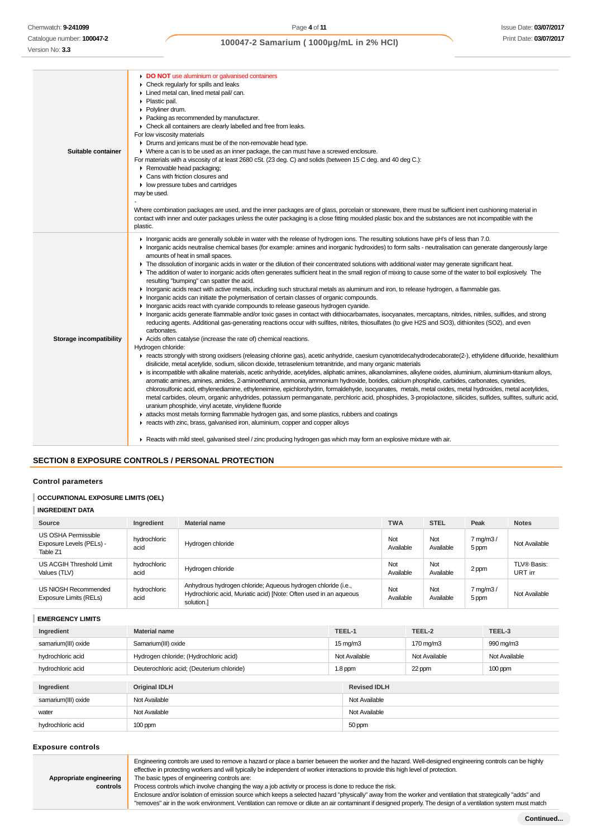### Catalogue number: **100047-2** Version No: **3.3**

# **100047-2 Samarium ( 1000µg/mL in 2% HCl)**

**DO NOT** use aluminium or galvanised containers

| Suitable container      | <b>DU NUT USE GIUITIII IIUITI UI GAIVALIISEU COLITAILIEI S</b><br>$\triangleright$ Check regularly for spills and leaks<br>Lined metal can, lined metal pail/ can.<br>• Plastic pail.<br>▶ Polyliner drum.<br>• Packing as recommended by manufacturer.<br>• Check all containers are clearly labelled and free from leaks.<br>For low viscosity materials<br>• Drums and jerricans must be of the non-removable head type.<br>• Where a can is to be used as an inner package, the can must have a screwed enclosure.<br>For materials with a viscosity of at least 2680 cSt. (23 deg. C) and solids (between 15 C deg. and 40 deg C.):<br>Removable head packaging;<br>▶ Cans with friction closures and<br>$\blacktriangleright$ low pressure tubes and cartridges<br>may be used.<br>Where combination packages are used, and the inner packages are of glass, porcelain or stoneware, there must be sufficient inert cushioning material in<br>contact with inner and outer packages unless the outer packaging is a close fitting moulded plastic box and the substances are not incompatible with the<br>plastic.                                                                                                                                                                                                                                                                                                                                                                                                                                                                                                                                                                                                                                                                                                                                                                                                                                                                                                                                                                                                                                                                                                                                                                                                                                                                                                                                                                                                                                                                                                                        |
|-------------------------|-------------------------------------------------------------------------------------------------------------------------------------------------------------------------------------------------------------------------------------------------------------------------------------------------------------------------------------------------------------------------------------------------------------------------------------------------------------------------------------------------------------------------------------------------------------------------------------------------------------------------------------------------------------------------------------------------------------------------------------------------------------------------------------------------------------------------------------------------------------------------------------------------------------------------------------------------------------------------------------------------------------------------------------------------------------------------------------------------------------------------------------------------------------------------------------------------------------------------------------------------------------------------------------------------------------------------------------------------------------------------------------------------------------------------------------------------------------------------------------------------------------------------------------------------------------------------------------------------------------------------------------------------------------------------------------------------------------------------------------------------------------------------------------------------------------------------------------------------------------------------------------------------------------------------------------------------------------------------------------------------------------------------------------------------------------------------------------------------------------------------------------------------------------------------------------------------------------------------------------------------------------------------------------------------------------------------------------------------------------------------------------------------------------------------------------------------------------------------------------------------------------------------------------------------------------------------------------------------------------------------------------------------|
| Storage incompatibility | In organic acids are generally soluble in water with the release of hydrogen ions. The resulting solutions have pH's of less than 7.0.<br>Inorganic acids neutralise chemical bases (for example: amines and inorganic hydroxides) to form salts - neutralisation can generate dangerously large<br>amounts of heat in small spaces.<br>F The dissolution of inorganic acids in water or the dilution of their concentrated solutions with additional water may generate significant heat.<br>The addition of water to inorganic acids often generates sufficient heat in the small region of mixing to cause some of the water to boil explosively. The<br>resulting "bumping" can spatter the acid.<br>Inorganic acids react with active metals, including such structural metals as aluminum and iron, to release hydrogen, a flammable gas.<br>In Inorganic acids can initiate the polymerisation of certain classes of organic compounds.<br>In Inorganic acids react with cyanide compounds to release gaseous hydrogen cyanide.<br>Inorganic acids generate flammable and/or toxic gases in contact with dithiocarbamates, isocyanates, mercaptans, nitrides, nitriles, sulfides, and strong<br>reducing agents. Additional gas-generating reactions occur with sulfites, nitrites, thiosulfates (to give H2S and SO3), dithionites (SO2), and even<br>carbonates.<br>Acids often catalyse (increase the rate of) chemical reactions.<br>Hydrogen chloride:<br>F reacts strongly with strong oxidisers (releasing chlorine gas), acetic anhydride, caesium cyanotridecahydrodecaborate(2-), ethylidene difluoride, hexalithium<br>disilicide, metal acetylide, sodium, silicon dioxide, tetraselenium tetranitride, and many organic materials<br>is incompatible with alkaline materials, acetic anhydride, acetylides, aliphatic amines, alkanolamines, alkylene oxides, aluminium, aluminium-titanium alloys,<br>aromatic amines, amines, amides, 2-aminoethanol, ammonia, ammonium hydroxide, borides, calcium phosphide, carbides, carbonates, cyanides,<br>chlorosulfonic acid, ethylenediamine, ethyleneimine, epichlorohydrin, formaldehyde, isocyanates, metals, metal oxides, metal hydroxides, metal acetylides,<br>metal carbides, oleum, organic anhydrides, potassium permanganate, perchloric acid, phosphides, 3-propiolactone, silicides, sulfides, sulfites, sulfuric acid,<br>uranium phosphide, vinyl acetate, vinylidene fluoride<br>A attacks most metals forming flammable hydrogen gas, and some plastics, rubbers and coatings<br>reacts with zinc, brass, galvanised iron, aluminium, copper and copper alloys |

**Reacts with mild steel, galvanised steel / zinc producing hydrogen gas which may form an explosive mixture with air.** 

### **SECTION 8 EXPOSURE CONTROLS / PERSONAL PROTECTION**

### **Control parameters**

### **OCCUPATIONAL EXPOSURE LIMITS (OEL)**

# **INGREDIENT DATA**

| Source                                                      | Ingredient           | <b>Material name</b>                                                                                                                             | <b>TWA</b>       | <b>STEL</b>      | Peak                          | <b>Notes</b>           |
|-------------------------------------------------------------|----------------------|--------------------------------------------------------------------------------------------------------------------------------------------------|------------------|------------------|-------------------------------|------------------------|
| US OSHA Permissible<br>Exposure Levels (PELs) -<br>Table Z1 | hydrochloric<br>acid | Hydrogen chloride                                                                                                                                | Not<br>Available | Not<br>Available | $7 \text{ mg/m}$ 3 /<br>5 ppm | Not Available          |
| US ACGIH Threshold Limit<br>Values (TLV)                    | hydrochloric<br>acid | Hydrogen chloride                                                                                                                                | Not<br>Available | Not<br>Available | 2 ppm                         | TLV® Basis:<br>URT irr |
| US NIOSH Recommended<br>Exposure Limits (RELs)              | hydrochloric<br>acid | Anhydrous hydrogen chloride; Aqueous hydrogen chloride (i.e.,<br>Hydrochloric acid, Muriatic acid) [Note: Often used in an aqueous<br>solution.] | Not<br>Available | Not<br>Available | 7 mg/m3/<br>5 ppm             | Not Available          |

### **EMERGENCY LIMITS**

| Ingredient          | <b>Material name</b>                      | TEEL-1              |               | TEEL-2        | TEEL-3        |  |
|---------------------|-------------------------------------------|---------------------|---------------|---------------|---------------|--|
| samarium(III) oxide | Samarium(III) oxide                       | $15 \text{ mg/m}$   |               | 170 mg/m3     | 990 mg/m3     |  |
| hydrochloric acid   | Hydrogen chloride; (Hydrochloric acid)    | Not Available       |               | Not Available | Not Available |  |
| hydrochloric acid   | Deuterochloric acid; (Deuterium chloride) | 1.8 ppm             |               | 22 ppm        | $100$ ppm     |  |
|                     |                                           |                     |               |               |               |  |
| Ingredient          | <b>Original IDLH</b>                      | <b>Revised IDLH</b> |               |               |               |  |
| samarium(III) oxide | Not Available                             |                     | Not Available |               |               |  |
| water               | Not Available                             | Not Available       |               |               |               |  |
| hydrochloric acid   | $100$ ppm                                 | 50 ppm              |               |               |               |  |

### **Exposure controls**

Engineering controls are used to remove a hazard or place a barrier between the worker and the hazard. Well-designed engineering controls can be highly effective in protecting workers and will typically be independent of worker interactions to provide this high level of protection.

```
Appropriate engineering
   controls
```
The basic types of engineering controls are: Process controls which involve changing the way a job activity or process is done to reduce the risk. Enclosure and/or isolation of emission source which keeps a selected hazard "physically" away from the worker and ventilation that strategically "adds" and "removes" air in the work environment. Ventilation can remove or dilute an air contaminant if designed properly. The design of a ventilation system must match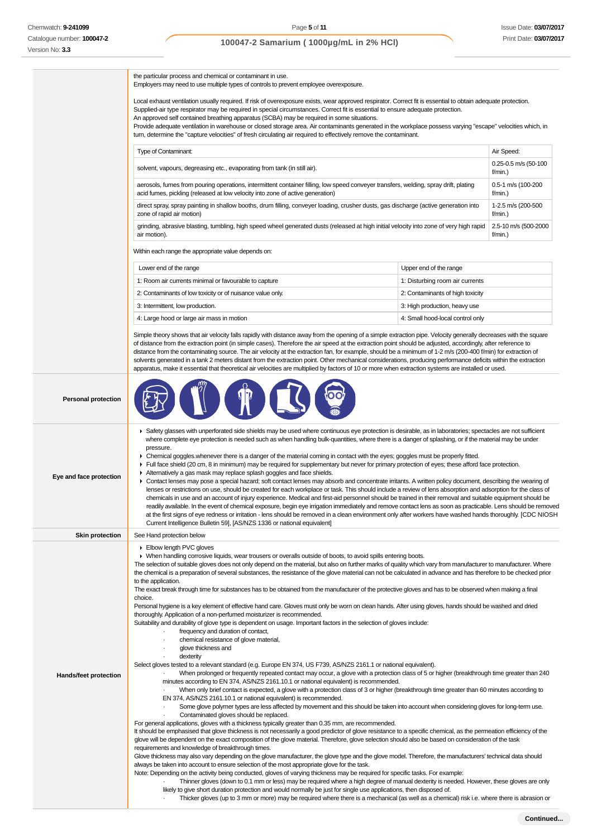# **100047-2 Samarium ( 1000µg/mL in 2% HCl)**

the particular process and chemical or contaminant in use.

Employers may need to use multiple types of controls to prevent employee overexposure.

Local exhaust ventilation usually required. If risk of overexposure exists, wear approved respirator. Correct fit is essential to obtain adequate protection. Supplied-air type respirator may be required in special circumstances. Correct fit is essential to ensure adequate protection.

An approved self contained breathing apparatus (SCBA) may be required in some situations.

Provide adequate ventilation in warehouse or closed storage area. Air contaminants generated in the workplace possess varying "escape" velocities which, in turn, determine the "capture velocities" of fresh circulating air required to effectively remove the contaminant.

| <b>Type of Contaminant:</b>                                                                                                             | Air Speed:                         |
|-----------------------------------------------------------------------------------------------------------------------------------------|------------------------------------|
| solvent, vapours, degreasing etc., evaporating from tank (in still air).                                                                | $0.25 - 0.5$ m/s (50-100<br>f/min. |
| aerosols, fumes from pouring operations, intermittent container filling, low speed conveyer transfers, welding, spray drift, plating    | 0.5-1 m/s (100-200                 |
| acid fumes, pickling (released at low velocity into zone of active generation)                                                          | f/min.                             |
| direct spray, spray painting in shallow booths, drum filling, conveyer loading, crusher dusts, gas discharge (active generation into    | 1-2.5 m/s (200-500                 |
| zone of rapid air motion)                                                                                                               | $f/min.$ )                         |
| grinding, abrasive blasting, tumbling, high speed wheel generated dusts (released at high initial velocity into zone of very high rapid | 2.5-10 m/s (500-2000               |
| air motion).                                                                                                                            | $f/min.$ )                         |

Within each range the appropriate value depends on:

| Lower end of the range                                                                         | Upper end of the range           |
|------------------------------------------------------------------------------------------------|----------------------------------|
| 1: Room air currents minimal or favourable to capture                                          | 1: Disturbing room air currents  |
| 2: Contaminants of low toxicity or of nuisance value only.<br>2: Contaminants of high toxicity |                                  |
| 3: High production, heavy use<br>3: Intermittent, low production.                              |                                  |
| 4: Large hood or large air mass in motion                                                      | 4: Small hood-local control only |

Simple theory shows that air velocity falls rapidly with distance away from the opening of a simple extraction pipe. Velocity generally decreases with the square of distance from the extraction point (in simple cases). Therefore the air speed at the extraction point should be adjusted, accordingly, after reference to distance from the contaminating source. The air velocity at the extraction fan, for example, should be a minimum of 1-2 m/s (200-400 f/min) for extraction of solvents generated in a tank 2 meters distant from the extraction point. Other mechanical considerations, producing performance deficits within the extraction apparatus, make it essential that theoretical air velocities are multiplied by factors of 10 or more when extraction systems are installed or used.

| <b>Personal protection</b> |                                                                                                                                                                                                                                                                                                                                                                                                                                                                                                                                                                                                                                                                                                                                                                                                                                                                                                                                                                                                                                                                                                                                                                                                                                                                                                                                                                                                                                                                                                                                                                                                                                                                                                                                                                                                                                                                                                                                                                                                                                                                                                                                                                                                                |
|----------------------------|----------------------------------------------------------------------------------------------------------------------------------------------------------------------------------------------------------------------------------------------------------------------------------------------------------------------------------------------------------------------------------------------------------------------------------------------------------------------------------------------------------------------------------------------------------------------------------------------------------------------------------------------------------------------------------------------------------------------------------------------------------------------------------------------------------------------------------------------------------------------------------------------------------------------------------------------------------------------------------------------------------------------------------------------------------------------------------------------------------------------------------------------------------------------------------------------------------------------------------------------------------------------------------------------------------------------------------------------------------------------------------------------------------------------------------------------------------------------------------------------------------------------------------------------------------------------------------------------------------------------------------------------------------------------------------------------------------------------------------------------------------------------------------------------------------------------------------------------------------------------------------------------------------------------------------------------------------------------------------------------------------------------------------------------------------------------------------------------------------------------------------------------------------------------------------------------------------------|
| Eye and face protection    | ► Safety glasses with unperforated side shields may be used where continuous eye protection is desirable, as in laboratories; spectacles are not sufficient<br>where complete eye protection is needed such as when handling bulk-quantities, where there is a danger of splashing, or if the material may be under<br>pressure.<br>• Chemical goggles whenever there is a danger of the material coming in contact with the eyes; goggles must be properly fitted.<br>Full face shield (20 cm, 8 in minimum) may be required for supplementary but never for primary protection of eyes; these afford face protection.<br>Alternatively a gas mask may replace splash goggles and face shields.<br>► Contact lenses may pose a special hazard; soft contact lenses may absorb and concentrate irritants. A written policy document, describing the wearing of<br>lenses or restrictions on use, should be created for each workplace or task. This should include a review of lens absorption and adsorption for the class of<br>chemicals in use and an account of injury experience. Medical and first-aid personnel should be trained in their removal and suitable equipment should be<br>readily available. In the event of chemical exposure, begin eye irrigation immediately and remove contact lens as soon as practicable. Lens should be removed<br>at the first signs of eye redness or irritation - lens should be removed in a clean environment only after workers have washed hands thoroughly. [CDC NIOSH<br>Current Intelligence Bulletin 59], [AS/NZS 1336 or national equivalent]                                                                                                                                                                                                                                                                                                                                                                                                                                                                                                                                                                                                         |
| <b>Skin protection</b>     | See Hand protection below                                                                                                                                                                                                                                                                                                                                                                                                                                                                                                                                                                                                                                                                                                                                                                                                                                                                                                                                                                                                                                                                                                                                                                                                                                                                                                                                                                                                                                                                                                                                                                                                                                                                                                                                                                                                                                                                                                                                                                                                                                                                                                                                                                                      |
| Hands/feet protection      | Elbow length PVC gloves<br>▶ When handling corrosive liquids, wear trousers or overalls outside of boots, to avoid spills entering boots.<br>The selection of suitable gloves does not only depend on the material, but also on further marks of quality which vary from manufacturer to manufacturer. Where<br>the chemical is a preparation of several substances, the resistance of the glove material can not be calculated in advance and has therefore to be checked prior<br>to the application.<br>The exact break through time for substances has to be obtained from the manufacturer of the protective gloves and has to be observed when making a final<br>choice.<br>Personal hygiene is a key element of effective hand care. Gloves must only be worn on clean hands. After using gloves, hands should be washed and dried<br>thoroughly. Application of a non-perfumed moisturizer is recommended.<br>Suitability and durability of glove type is dependent on usage. Important factors in the selection of gloves include:<br>frequency and duration of contact,<br>chemical resistance of glove material,<br>glove thickness and<br>dexterity<br>Select gloves tested to a relevant standard (e.g. Europe EN 374, US F739, AS/NZS 2161.1 or national equivalent).<br>When prolonged or frequently repeated contact may occur, a glove with a protection class of 5 or higher (breakthrough time greater than 240<br>minutes according to EN 374, AS/NZS 2161.10.1 or national equivalent) is recommended.<br>When only brief contact is expected, a glove with a protection class of 3 or higher (breakthrough time greater than 60 minutes according to<br>EN 374, AS/NZS 2161.10.1 or national equivalent) is recommended.<br>Some glove polymer types are less affected by movement and this should be taken into account when considering gloves for long-term use.<br>Contaminated gloves should be replaced.<br>For general applications, gloves with a thickness typically greater than 0.35 mm, are recommended.<br>It should be emphasised that glove thickness is not necessarily a good predictor of glove resistance to a specific chemical, as the permeation efficiency of the |
|                            | glove will be dependent on the exact composition of the glove material. Therefore, glove selection should also be based on consideration of the task<br>requirements and knowledge of breakthrough times.<br>Glove thickness may also vary depending on the glove manufacturer, the glove type and the glove model. Therefore, the manufacturers' technical data should<br>always be taken into account to ensure selection of the most appropriate glove for the task.<br>Note: Depending on the activity being conducted, gloves of varying thickness may be required for specific tasks. For example:<br>Thinner gloves (down to 0.1 mm or less) may be required where a high degree of manual dexterity is needed. However, these gloves are only<br>likely to give short duration protection and would normally be just for single use applications, then disposed of.<br>Thicker gloves (up to 3 mm or more) may be required where there is a mechanical (as well as a chemical) risk i.e. where there is abrasion or                                                                                                                                                                                                                                                                                                                                                                                                                                                                                                                                                                                                                                                                                                                                                                                                                                                                                                                                                                                                                                                                                                                                                                                    |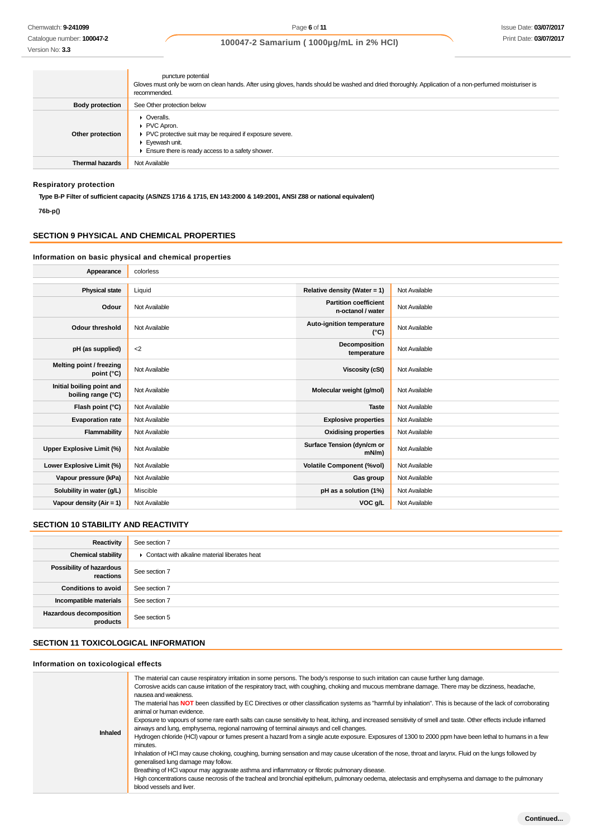Catalogue number: **100047-2** Version No: **3.3**

# **100047-2 Samarium ( 1000µg/mL in 2% HCl)**

|                        | puncture potential<br>Gloves must only be worn on clean hands. After using gloves, hands should be washed and dried thoroughly. Application of a non-perfumed moisturiser is<br>recommended.     |
|------------------------|--------------------------------------------------------------------------------------------------------------------------------------------------------------------------------------------------|
| <b>Body protection</b> | See Other protection below                                                                                                                                                                       |
| Other protection       | $\triangleright$ Overalls.<br>PVC Apron.<br>▶ PVC protective suit may be required if exposure severe.<br>$\blacktriangleright$ Eyewash unit.<br>Ensure there is ready access to a safety shower. |
| <b>Thermal hazards</b> | Not Available                                                                                                                                                                                    |

# **Respiratory protection**

**Type B-P Filter of sufficient capacity. (AS/NZS 1716 & 1715, EN 143:2000 & 149:2001, ANSI Z88 or national equivalent)**

**76b-p()**

# **SECTION 9 PHYSICAL AND CHEMICAL PROPERTIES**

### **Information on basic physical and chemical properties**

| Appearance                                      | colorless     |                                                   |               |
|-------------------------------------------------|---------------|---------------------------------------------------|---------------|
|                                                 |               |                                                   |               |
| <b>Physical state</b>                           | Liquid        | Relative density (Water = $1$ )                   | Not Available |
| Odour                                           | Not Available | <b>Partition coefficient</b><br>n-octanol / water | Not Available |
| Odour threshold                                 | Not Available | Auto-ignition temperature<br>$(^{\circ}C)$        | Not Available |
| pH (as supplied)                                | $<$ 2         | Decomposition<br>temperature                      | Not Available |
| Melting point / freezing<br>point $(^{\circ}C)$ | Not Available | <b>Viscosity (cSt)</b>                            | Not Available |
| Initial boiling point and<br>boiling range (°C) | Not Available | Molecular weight (g/mol)                          | Not Available |
| Flash point (°C)                                | Not Available | <b>Taste</b>                                      | Not Available |
| <b>Evaporation rate</b>                         | Not Available | <b>Explosive properties</b>                       | Not Available |
| Flammability                                    | Not Available | <b>Oxidising properties</b>                       | Not Available |
| Upper Explosive Limit (%)                       | Not Available | Surface Tension (dyn/cm or<br>$mN/m$ )            | Not Available |
| Lower Explosive Limit (%)                       | Not Available | <b>Volatile Component (%vol)</b>                  | Not Available |
| Vapour pressure (kPa)                           | Not Available | Gas group                                         | Not Available |
| Solubility in water (g/L)                       | Miscible      | pH as a solution (1%)                             | Not Available |
| Vapour density ( $Air = 1$ )                    | Not Available | VOC g/L                                           | Not Available |

### **SECTION 10 STABILITY AND REACTIVITY**

| Reactivity                                 | See section 7                                   |
|--------------------------------------------|-------------------------------------------------|
| <b>Chemical stability</b>                  | • Contact with alkaline material liberates heat |
| Possibility of hazardous<br>reactions      | See section 7                                   |
| <b>Conditions to avoid</b>                 | See section 7                                   |
| Incompatible materials                     | See section 7                                   |
| <b>Hazardous decomposition</b><br>products | See section 5                                   |

# **SECTION 11 TOXICOLOGICAL INFORMATION**

### **Information on toxicological effects**

| Inhaled | The material can cause respiratory irritation in some persons. The body's response to such irritation can cause further lung damage.<br>Corrosive acids can cause irritation of the respiratory tract, with coughing, choking and mucous membrane damage. There may be dizziness, headache,<br>nausea and weakness.<br>The material has NOT been classified by EC Directives or other classification systems as "harmful by inhalation". This is because of the lack of corroborating<br>animal or human evidence.<br>Exposure to vapours of some rare earth salts can cause sensitivity to heat, itching, and increased sensitivity of smell and taste. Other effects include inflamed<br>airways and lung, emphysema, regional narrowing of terminal airways and cell changes.<br>Hydrogen chloride (HCl) vapour or fumes present a hazard from a single acute exposure. Exposures of 1300 to 2000 ppm have been lethal to humans in a few<br>minutes.<br>Inhalation of HCI may cause choking, coughing, burning sensation and may cause ulceration of the nose, throat and larynx. Fluid on the lungs followed by<br>generalised lung damage may follow.<br>Breathing of HCI vapour may aggravate asthma and inflammatory or fibrotic pulmonary disease.<br>High concentrations cause necrosis of the tracheal and bronchial epithelium, pulmonary oedema, atelectasis and emphysema and damage to the pulmonary<br>blood vessels and liver. |
|---------|-------------------------------------------------------------------------------------------------------------------------------------------------------------------------------------------------------------------------------------------------------------------------------------------------------------------------------------------------------------------------------------------------------------------------------------------------------------------------------------------------------------------------------------------------------------------------------------------------------------------------------------------------------------------------------------------------------------------------------------------------------------------------------------------------------------------------------------------------------------------------------------------------------------------------------------------------------------------------------------------------------------------------------------------------------------------------------------------------------------------------------------------------------------------------------------------------------------------------------------------------------------------------------------------------------------------------------------------------------------------------------------------------------------------------------------------------|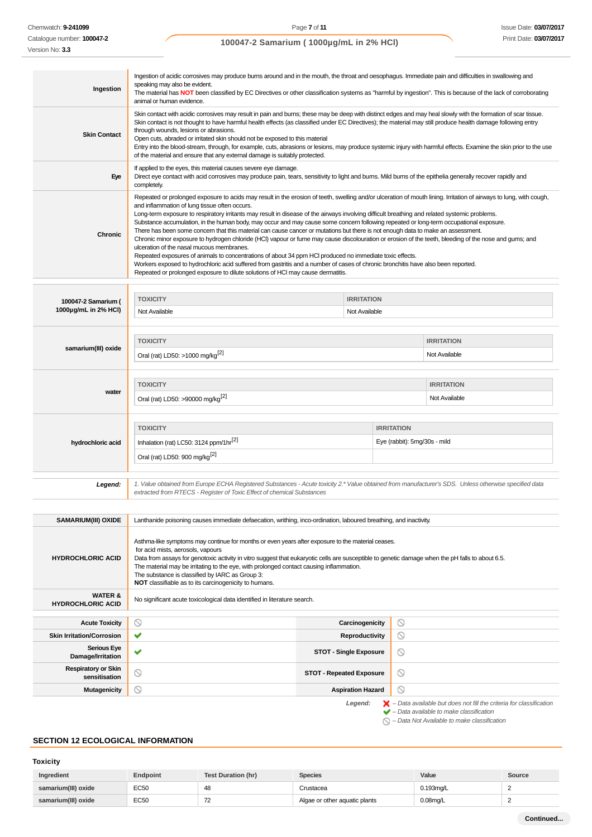Chemwatch: **9-241099**

Catalogue number: **100047-2**

# **100047-2 Samarium ( 1000µg/mL in 2% HCl)**

| Ingestion                                      | Ingestion of acidic corrosives may produce burns around and in the mouth, the throat and oesophagus. Immediate pain and difficulties in swallowing and<br>speaking may also be evident.<br>The material has NOT been classified by EC Directives or other classification systems as "harmful by ingestion". This is because of the lack of corroborating<br>animal or human evidence.                                                                                                                                                                                                                                                                                                                                                                                                                                                                                                                                                                                                                                                                                                                                                                                                        |                                 |         |                                                                                                                                                           |
|------------------------------------------------|----------------------------------------------------------------------------------------------------------------------------------------------------------------------------------------------------------------------------------------------------------------------------------------------------------------------------------------------------------------------------------------------------------------------------------------------------------------------------------------------------------------------------------------------------------------------------------------------------------------------------------------------------------------------------------------------------------------------------------------------------------------------------------------------------------------------------------------------------------------------------------------------------------------------------------------------------------------------------------------------------------------------------------------------------------------------------------------------------------------------------------------------------------------------------------------------|---------------------------------|---------|-----------------------------------------------------------------------------------------------------------------------------------------------------------|
| <b>Skin Contact</b>                            | Skin contact with acidic corrosives may result in pain and burns; these may be deep with distinct edges and may heal slowly with the formation of scar tissue.<br>Skin contact is not thought to have harmful health effects (as classified under EC Directives); the material may still produce health damage following entry<br>through wounds, lesions or abrasions.<br>Open cuts, abraded or irritated skin should not be exposed to this material<br>Entry into the blood-stream, through, for example, cuts, abrasions or lesions, may produce systemic injury with harmful effects. Examine the skin prior to the use<br>of the material and ensure that any external damage is suitably protected.                                                                                                                                                                                                                                                                                                                                                                                                                                                                                   |                                 |         |                                                                                                                                                           |
| Eye                                            | If applied to the eyes, this material causes severe eye damage.<br>Direct eye contact with acid corrosives may produce pain, tears, sensitivity to light and burns. Mild burns of the epithelia generally recover rapidly and<br>completely.                                                                                                                                                                                                                                                                                                                                                                                                                                                                                                                                                                                                                                                                                                                                                                                                                                                                                                                                                 |                                 |         |                                                                                                                                                           |
| Chronic                                        | Repeated or prolonged exposure to acids may result in the erosion of teeth, swelling and/or ulceration of mouth lining. Irritation of airways to lung, with cough,<br>and inflammation of lung tissue often occurs.<br>Long-term exposure to respiratory irritants may result in disease of the airways involving difficult breathing and related systemic problems.<br>Substance accumulation, in the human body, may occur and may cause some concern following repeated or long-term occupational exposure.<br>There has been some concern that this material can cause cancer or mutations but there is not enough data to make an assessment.<br>Chronic minor exposure to hydrogen chloride (HCI) vapour or fume may cause discolouration or erosion of the teeth, bleeding of the nose and gums; and<br>ulceration of the nasal mucous membranes.<br>Repeated exposures of animals to concentrations of about 34 ppm HCI produced no immediate toxic effects.<br>Workers exposed to hydrochloric acid suffered from gastritis and a number of cases of chronic bronchitis have also been reported.<br>Repeated or prolonged exposure to dilute solutions of HCl may cause dermatitis. |                                 |         |                                                                                                                                                           |
|                                                | <b>TOXICITY</b>                                                                                                                                                                                                                                                                                                                                                                                                                                                                                                                                                                                                                                                                                                                                                                                                                                                                                                                                                                                                                                                                                                                                                                              | <b>IRRITATION</b>               |         |                                                                                                                                                           |
| 100047-2 Samarium (<br>1000µg/mL in 2% HCl)    | Not Available                                                                                                                                                                                                                                                                                                                                                                                                                                                                                                                                                                                                                                                                                                                                                                                                                                                                                                                                                                                                                                                                                                                                                                                | Not Available                   |         |                                                                                                                                                           |
|                                                | <b>TOXICITY</b>                                                                                                                                                                                                                                                                                                                                                                                                                                                                                                                                                                                                                                                                                                                                                                                                                                                                                                                                                                                                                                                                                                                                                                              |                                 |         | <b>IRRITATION</b>                                                                                                                                         |
| samarium(III) oxide                            | Oral (rat) LD50: >1000 mg/kg <sup>[2]</sup><br>Not Available                                                                                                                                                                                                                                                                                                                                                                                                                                                                                                                                                                                                                                                                                                                                                                                                                                                                                                                                                                                                                                                                                                                                 |                                 |         |                                                                                                                                                           |
| water                                          | <b>TOXICITY</b><br><b>IRRITATION</b><br>Oral (rat) LD50: >90000 mg/kg <sup>[2]</sup><br>Not Available                                                                                                                                                                                                                                                                                                                                                                                                                                                                                                                                                                                                                                                                                                                                                                                                                                                                                                                                                                                                                                                                                        |                                 |         |                                                                                                                                                           |
| hydrochloric acid                              | <b>TOXICITY</b><br><b>IRRITATION</b><br>Inhalation (rat) LC50: 3124 ppm/1hr <sup>[2]</sup><br>Eye (rabbit): 5mg/30s - mild<br>Oral (rat) LD50: 900 mg/kg <sup>[2]</sup>                                                                                                                                                                                                                                                                                                                                                                                                                                                                                                                                                                                                                                                                                                                                                                                                                                                                                                                                                                                                                      |                                 |         |                                                                                                                                                           |
| Legend:                                        | 1. Value obtained from Europe ECHA Registered Substances - Acute toxicity 2.* Value obtained from manufacturer's SDS. Unless otherwise specified data<br>extracted from RTECS - Register of Toxic Effect of chemical Substances                                                                                                                                                                                                                                                                                                                                                                                                                                                                                                                                                                                                                                                                                                                                                                                                                                                                                                                                                              |                                 |         |                                                                                                                                                           |
| <b>SAMARIUM(III) OXIDE</b>                     | Lanthanide poisoning causes immediate defaecation, writhing, inco-ordination, laboured breathing, and inactivity.                                                                                                                                                                                                                                                                                                                                                                                                                                                                                                                                                                                                                                                                                                                                                                                                                                                                                                                                                                                                                                                                            |                                 |         |                                                                                                                                                           |
| <b>HYDROCHLORIC ACID</b>                       | Asthma-like symptoms may continue for months or even years after exposure to the material ceases.<br>for acid mists, aerosols, vapours<br>Data from assays for genotoxic activity in vitro suggest that eukaryotic cells are susceptible to genetic damage when the pH falls to about 6.5.<br>The material may be irritating to the eye, with prolonged contact causing inflammation.<br>The substance is classified by IARC as Group 3:<br>NOT classifiable as to its carcinogenicity to humans.                                                                                                                                                                                                                                                                                                                                                                                                                                                                                                                                                                                                                                                                                            |                                 |         |                                                                                                                                                           |
| <b>WATER &amp;</b><br><b>HYDROCHLORIC ACID</b> | No significant acute toxicological data identified in literature search.                                                                                                                                                                                                                                                                                                                                                                                                                                                                                                                                                                                                                                                                                                                                                                                                                                                                                                                                                                                                                                                                                                                     |                                 |         |                                                                                                                                                           |
| <b>Acute Toxicity</b>                          | $\circledcirc$                                                                                                                                                                                                                                                                                                                                                                                                                                                                                                                                                                                                                                                                                                                                                                                                                                                                                                                                                                                                                                                                                                                                                                               | Carcinogenicity                 | Ø       |                                                                                                                                                           |
| <b>Skin Irritation/Corrosion</b>               | ✔                                                                                                                                                                                                                                                                                                                                                                                                                                                                                                                                                                                                                                                                                                                                                                                                                                                                                                                                                                                                                                                                                                                                                                                            | Reproductivity                  | $\circ$ |                                                                                                                                                           |
| <b>Serious Eye</b><br>Damage/Irritation        | v                                                                                                                                                                                                                                                                                                                                                                                                                                                                                                                                                                                                                                                                                                                                                                                                                                                                                                                                                                                                                                                                                                                                                                                            | <b>STOT - Single Exposure</b>   | Ø       |                                                                                                                                                           |
| <b>Respiratory or Skin</b><br>sensitisation    | $\odot$                                                                                                                                                                                                                                                                                                                                                                                                                                                                                                                                                                                                                                                                                                                                                                                                                                                                                                                                                                                                                                                                                                                                                                                      | <b>STOT - Repeated Exposure</b> | Ø       |                                                                                                                                                           |
| <b>Mutagenicity</b>                            | ⊙                                                                                                                                                                                                                                                                                                                                                                                                                                                                                                                                                                                                                                                                                                                                                                                                                                                                                                                                                                                                                                                                                                                                                                                            | <b>Aspiration Hazard</b>        | ⊚       |                                                                                                                                                           |
|                                                |                                                                                                                                                                                                                                                                                                                                                                                                                                                                                                                                                                                                                                                                                                                                                                                                                                                                                                                                                                                                                                                                                                                                                                                              | Legend:                         |         | $\blacktriangleright$ - Data available but does not fill the criteria for classification<br>$\blacktriangleright$ - Data available to make classification |

 $\bigcirc$  – Data Not Available to make classification

# **SECTION 12 ECOLOGICAL INFORMATION**

# **Toxicity**

| Ingredient          | Endpoint | <b>Test Duration (hr)</b> | <b>Species</b>                | Value        | Source |
|---------------------|----------|---------------------------|-------------------------------|--------------|--------|
| samarium(III) oxide | EC50     | 48                        | Crustacea                     | $0.193$ mg/L |        |
| samarium(III) oxide | EC50     | --<br>$\epsilon$          | Algae or other aquatic plants | $0.08$ mg/L  |        |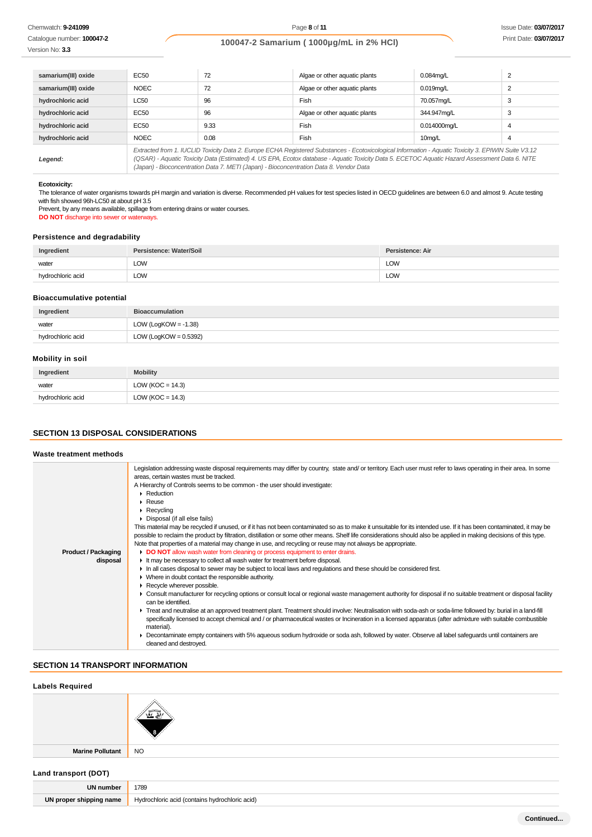# **100047-2 Samarium ( 1000µg/mL in 2% HCl)**

Catalogue number: **100047-2** Version No: **3.3**

| samarium(III) oxide | EC50                                                                                                                                                                                                                                                                                                  | 72   | Algae or other aquatic plants | $0.084$ mg/L        |   |
|---------------------|-------------------------------------------------------------------------------------------------------------------------------------------------------------------------------------------------------------------------------------------------------------------------------------------------------|------|-------------------------------|---------------------|---|
| samarium(III) oxide | <b>NOEC</b>                                                                                                                                                                                                                                                                                           | 72   | Algae or other aquatic plants | $0.019$ mg/L        |   |
| hydrochloric acid   | <b>LC50</b>                                                                                                                                                                                                                                                                                           | 96   | Fish                          | 70.057mg/L          | 3 |
| hydrochloric acid   | EC50                                                                                                                                                                                                                                                                                                  | 96   | Algae or other aquatic plants | 344.947ma/L         | 3 |
| hydrochloric acid   | EC50                                                                                                                                                                                                                                                                                                  | 9.33 | Fish                          | 0.014000mg/L        | 4 |
| hydrochloric acid   | <b>NOEC</b>                                                                                                                                                                                                                                                                                           | 0.08 | Fish                          | 10 <sub>mg</sub> /L | 4 |
| Legend:             | Extracted from 1. IUCLID Toxicity Data 2. Europe ECHA Registered Substances - Ecotoxicological Information - Aquatic Toxicity 3. EPIWIN Suite V3.12<br>(QSAR) - Aquatic Toxicity Data (Estimated) 4. US EPA, Ecotox database - Aquatic Toxicity Data 5. ECETOC Aquatic Hazard Assessment Data 6. NITE |      |                               |                     |   |

(QSAR) - Aquatic Toxicity Data (Estimated) 4. US EPA, Ecotox database - Aquatic Toxicity Data 5. ECETOC Aquatic Hazard Assessment Data 6. NITE (Japan) - Bioconcentration Data 7. METI (Japan) - Bioconcentration Data 8. Vendor Data

### **Ecotoxicity:**

The tolerance of water organisms towards pH margin and variation is diverse. Recommended pH values for test species listed in OECD guidelines are between 6.0 and almost 9. Acute testing with fish showed 96h-LC50 at about pH 3.5

Prevent, by any means available, spillage from entering drains or water courses. **DO NOT** discharge into sewer or waterways.

### **Persistence and degradability**

| Ingredient        | Persistence: Water/Soil | Persistence: Air |
|-------------------|-------------------------|------------------|
| water             | LOW                     | LOW              |
| hydrochloric acid | LOW                     | LOW              |

### **Bioaccumulative potential**

| Ingredient        | <b>Bioaccumulation</b>   |
|-------------------|--------------------------|
| water             | LOW (LogKOW = $-1.38$ )  |
| hydrochloric acid | LOW (LogKOW = $0.5392$ ) |

### **Mobility in soil**

| Ingredient        | <b>Mobility</b>      |
|-------------------|----------------------|
| water             | LOW ( $KOC = 14.3$ ) |
| hydrochloric acid | LOW ( $KOC = 14.3$ ) |

### **SECTION 13 DISPOSAL CONSIDERATIONS**

#### **Waste treatment methods**

| Legislation addressing waste disposal requirements may differ by country, state and/or territory. Each user must refer to laws operating in their area. In some<br>areas, certain wastes must be tracked.<br>A Hierarchy of Controls seems to be common - the user should investigate: |
|----------------------------------------------------------------------------------------------------------------------------------------------------------------------------------------------------------------------------------------------------------------------------------------|
| $\triangleright$ Reduction                                                                                                                                                                                                                                                             |
| $\triangleright$ Reuse                                                                                                                                                                                                                                                                 |
| $\triangleright$ Recycling                                                                                                                                                                                                                                                             |
| • Disposal (if all else fails)                                                                                                                                                                                                                                                         |
| This material may be recycled if unused, or if it has not been contaminated so as to make it unsuitable for its intended use. If it has been contaminated, it may be                                                                                                                   |
| possible to reclaim the product by filtration, distillation or some other means. Shelf life considerations should also be applied in making decisions of this type.                                                                                                                    |
| Note that properties of a material may change in use, and recycling or reuse may not always be appropriate.                                                                                                                                                                            |
| DO NOT allow wash water from cleaning or process equipment to enter drains.                                                                                                                                                                                                            |
| It may be necessary to collect all wash water for treatment before disposal.                                                                                                                                                                                                           |
| In all cases disposal to sewer may be subject to local laws and regulations and these should be considered first.                                                                                                                                                                      |
| • Where in doubt contact the responsible authority.                                                                                                                                                                                                                                    |
| Recycle wherever possible.                                                                                                                                                                                                                                                             |
| ► Consult manufacturer for recycling options or consult local or regional waste management authority for disposal if no suitable treatment or disposal facility<br>can be identified.                                                                                                  |
| F Treat and neutralise at an approved treatment plant. Treatment should involve: Neutralisation with soda-ash or soda-lime followed by: burial in a land-fill                                                                                                                          |
| specifically licensed to accept chemical and / or pharmaceutical wastes or Incineration in a licensed apparatus (after admixture with suitable combustible<br>material).                                                                                                               |
| ► Decontaminate empty containers with 5% aqueous sodium hydroxide or soda ash, followed by water. Observe all label safeguards until containers are<br>cleaned and destroyed.                                                                                                          |
|                                                                                                                                                                                                                                                                                        |

### **SECTION 14 TRANSPORT INFORMATION**

| <b>Labels Required</b>  |                                                |
|-------------------------|------------------------------------------------|
|                         |                                                |
| <b>Marine Pollutant</b> | <b>NO</b>                                      |
| Land transport (DOT)    |                                                |
| <b>UN number</b>        | 1789                                           |
| UN proper shipping name | Hydrochloric acid (contains hydrochloric acid) |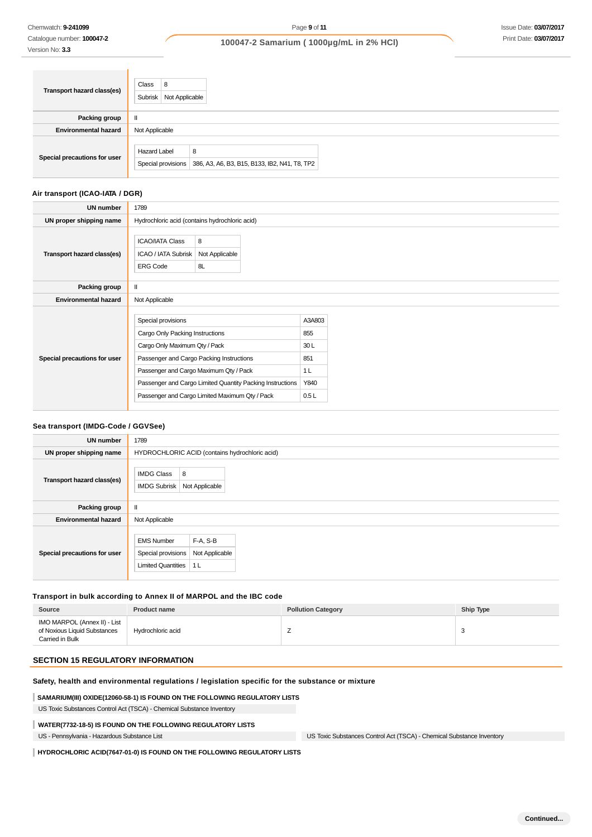Version No: **3.3**

Catalogue number: **100047-2**

**100047-2 Samarium ( 1000µg/mL in 2% HCl)**

| Transport hazard class(es)   | Class<br>8<br>Subrisk<br>Not Applicable                                                        |
|------------------------------|------------------------------------------------------------------------------------------------|
| Packing group                |                                                                                                |
| <b>Environmental hazard</b>  | Not Applicable                                                                                 |
| Special precautions for user | <b>Hazard Label</b><br>8<br>Special provisions   386, A3, A6, B3, B15, B133, IB2, N41, T8, TP2 |

# **Air transport (ICAO-IATA / DGR)**

| <b>UN number</b>             | 1789                                                                                                                                                                                                                                                                                        |                                                               |
|------------------------------|---------------------------------------------------------------------------------------------------------------------------------------------------------------------------------------------------------------------------------------------------------------------------------------------|---------------------------------------------------------------|
| UN proper shipping name      | Hydrochloric acid (contains hydrochloric acid)                                                                                                                                                                                                                                              |                                                               |
| Transport hazard class(es)   | 8<br><b>ICAO/IATA Class</b><br>Not Applicable<br>ICAO / IATA Subrisk<br><b>ERG Code</b><br>8L                                                                                                                                                                                               |                                                               |
| Packing group                | Н.                                                                                                                                                                                                                                                                                          |                                                               |
| <b>Environmental hazard</b>  | Not Applicable                                                                                                                                                                                                                                                                              |                                                               |
| Special precautions for user | Special provisions<br>Cargo Only Packing Instructions<br>Cargo Only Maximum Qty / Pack<br>Passenger and Cargo Packing Instructions<br>Passenger and Cargo Maximum Qty / Pack<br>Passenger and Cargo Limited Quantity Packing Instructions<br>Passenger and Cargo Limited Maximum Qty / Pack | A3A803<br>855<br>30L<br>851<br>1 <sub>L</sub><br>Y840<br>0.5L |

### **Sea transport (IMDG-Code / GGVSee)**

| <b>UN number</b>             | 1789                                                                                                                 |
|------------------------------|----------------------------------------------------------------------------------------------------------------------|
| UN proper shipping name      | HYDROCHLORIC ACID (contains hydrochloric acid)                                                                       |
| Transport hazard class(es)   | 8<br><b>IMDG Class</b><br><b>IMDG Subrisk</b><br>Not Applicable                                                      |
| Packing group                | Ш                                                                                                                    |
| <b>Environmental hazard</b>  | Not Applicable                                                                                                       |
| Special precautions for user | F-A, S-B<br><b>EMS Number</b><br>Special provisions<br>Not Applicable<br><b>Limited Quantities</b><br>1 <sub>L</sub> |

# **Transport in bulk according to Annex II of MARPOL and the IBC code**

| Source                                                                          | <b>Product name</b> | <b>Pollution Category</b> | Ship Type |
|---------------------------------------------------------------------------------|---------------------|---------------------------|-----------|
| IMO MARPOL (Annex II) - List<br>of Noxious Liquid Substances<br>Carried in Bulk | Hydrochloric acid   | -                         |           |

# **SECTION 15 REGULATORY INFORMATION**

# **Safety, health and environmental regulations / legislation specific for the substance or mixture**

### **SAMARIUM(III) OXIDE(12060-58-1) IS FOUND ON THE FOLLOWING REGULATORY LISTS**

US Toxic Substances Control Act (TSCA) - Chemical Substance Inventory

### **WATER(7732-18-5) IS FOUND ON THE FOLLOWING REGULATORY LISTS**

US - Pennsylvania - Hazardous Substance List US Toxic Substances Control Act (TSCA) - Chemical Substance Inventory

**HYDROCHLORIC ACID(7647-01-0) IS FOUND ON THE FOLLOWING REGULATORY LISTS**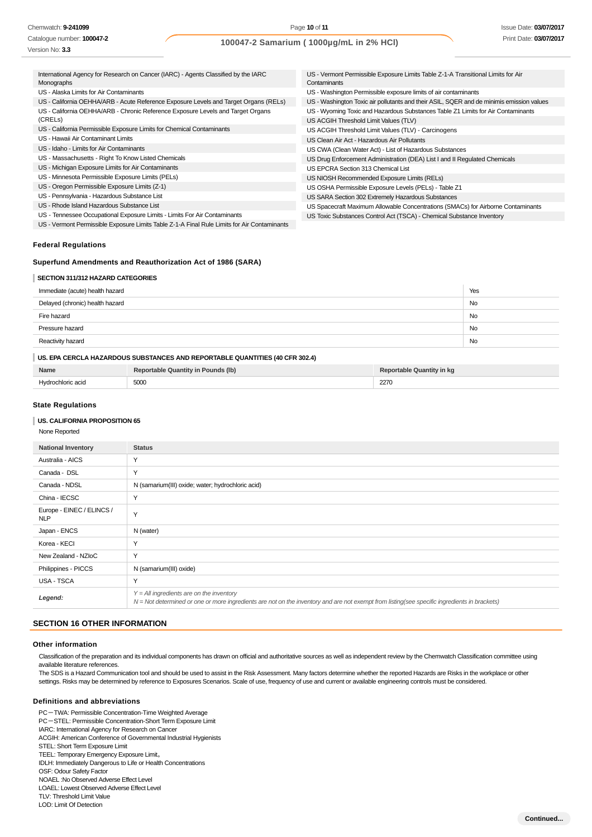Page **10** of **11**

| Catalogue number: 100047-2<br>Version No: 3.3                                                    |                                                                                      | 100047-2 Samarium (1000µg/mL in 2% HCl)                                                                                   | Print Date: 03/07 |
|--------------------------------------------------------------------------------------------------|--------------------------------------------------------------------------------------|---------------------------------------------------------------------------------------------------------------------------|-------------------|
| International Agency for Research on Cancer (IARC) - Agents Classified by the IARC<br>Monographs |                                                                                      | US - Vermont Permissible Exposure Limits Table Z-1-A Transitional Limits for Air<br>Contaminants                          |                   |
| US - Alaska Limits for Air Contaminants                                                          |                                                                                      | US - Washington Permissible exposure limits of air contaminants                                                           |                   |
|                                                                                                  | US - California OEHHA/ARB - Acute Reference Exposure Levels and Target Organs (RELs) | US - Washington Toxic air pollutants and their ASIL, SQER and de minimis emission values                                  |                   |
| US - California OEHHA/ARB - Chronic Reference Exposure Levels and Target Organs<br>(CRELs)       |                                                                                      | US - Wyoming Toxic and Hazardous Substances Table Z1 Limits for Air Contaminants<br>US ACGIH Threshold Limit Values (TLV) |                   |
| US - California Permissible Exposure Limits for Chemical Contaminants                            |                                                                                      | US ACGIH Threshold Limit Values (TLV) - Carcinogens                                                                       |                   |
| US - Hawaii Air Contaminant Limits                                                               |                                                                                      | US Clean Air Act - Hazardous Air Pollutants                                                                               |                   |
| US - Idaho - Limits for Air Contaminants                                                         |                                                                                      | US CWA (Clean Water Act) - List of Hazardous Substances                                                                   |                   |
| US - Massachusetts - Right To Know Listed Chemicals                                              |                                                                                      | US Drug Enforcement Administration (DEA) List I and II Regulated Chemicals                                                |                   |
| US - Michigan Exposure Limits for Air Contaminants                                               |                                                                                      | US EPCRA Section 313 Chemical List                                                                                        |                   |
| US - Minnesota Permissible Exposure Limits (PELs)                                                |                                                                                      | US NIOSH Recommended Exposure Limits (RELs)                                                                               |                   |
| US - Oregon Permissible Exposure Limits (Z-1)                                                    |                                                                                      | US OSHA Permissible Exposure Levels (PELs) - Table Z1                                                                     |                   |
| US - Pennsylvania - Hazardous Substance List                                                     |                                                                                      | US SARA Section 302 Extremely Hazardous Substances                                                                        |                   |
| US - Rhode Island Hazardous Substance List                                                       |                                                                                      | US Spacecraft Maximum Allowable Concentrations (SMACs) for Airborne Contaminants                                          |                   |
| US - Tennessee Occupational Exposure Limits - Limits For Air Contaminants                        |                                                                                      | US Toxic Substances Control Act (TSCA) - Chemical Substance Inventory                                                     |                   |
|                                                                                                  |                                                                                      |                                                                                                                           |                   |

US - Vermont Permissible Exposure Limits Table Z-1-A Final Rule Limits for Air Contaminants

### **Federal Regulations**

### **Superfund Amendments and Reauthorization Act of 1986 (SARA)**

### **SECTION 311/312 HAZARD CATEGORIES**

| Immediate (acute) health hazard | Yes |
|---------------------------------|-----|
| Delayed (chronic) health hazard | No  |
| Fire hazard                     | No  |
| Pressure hazard                 | No  |
| Reactivity hazard               | No  |
|                                 |     |

# **US. EPA CERCLA HAZARDOUS SUBSTANCES AND REPORTABLE QUANTITIES (40 CFR 302.4)**

| Name              | Reportable Quantity in Pounds (lb) | <b>Reportable Quantity in kg</b> |
|-------------------|------------------------------------|----------------------------------|
| Hydrochloric acid | 5000                               | 2270                             |

### **State Regulations**

#### **US. CALIFORNIA PROPOSITION 65**

None Reported

| <b>National Inventory</b>               | <b>Status</b>                                                                                                                                                                              |
|-----------------------------------------|--------------------------------------------------------------------------------------------------------------------------------------------------------------------------------------------|
| Australia - AICS                        | Y                                                                                                                                                                                          |
| Canada - DSL                            | Y                                                                                                                                                                                          |
| Canada - NDSL                           | N (samarium(III) oxide; water; hydrochloric acid)                                                                                                                                          |
| China - IECSC                           | $\checkmark$                                                                                                                                                                               |
| Europe - EINEC / ELINCS /<br><b>NLP</b> | Y                                                                                                                                                                                          |
| Japan - ENCS                            | N (water)                                                                                                                                                                                  |
| Korea - KECI                            | Y                                                                                                                                                                                          |
| New Zealand - NZIoC                     | Y                                                                                                                                                                                          |
| Philippines - PICCS                     | N (samarium(III) oxide)                                                                                                                                                                    |
| USA - TSCA                              | Y                                                                                                                                                                                          |
| Legend:                                 | $Y = All$ ingredients are on the inventory<br>N = Not determined or one or more ingredients are not on the inventory and are not exempt from listing(see specific ingredients in brackets) |

# **SECTION 16 OTHER INFORMATION**

### **Other information**

Classification of the preparation and its individual components has drawn on official and authoritative sources as well as independent review by the Chemwatch Classification committee using available literature references.

The SDS is a Hazard Communication tool and should be used to assist in the Risk Assessment. Many factors determine whether the reported Hazards are Risks in the workplace or other settings. Risks may be determined by reference to Exposures Scenarios. Scale of use, frequency of use and current or available engineering controls must be considered.

### **Definitions and abbreviations**

PC-TWA: Permissible Concentration-Time Weighted Average PC-STEL: Permissible Concentration-Short Term Exposure Limit IARC: International Agency for Research on Cancer ACGIH: American Conference of Governmental Industrial Hygienists STEL: Short Term Exposure Limit TEEL: Temporary Emergency Exposure Limit。 IDLH: Immediately Dangerous to Life or Health Concentrations OSF: Odour Safety Factor NOAEL :No Observed Adverse Effect Level LOAEL: Lowest Observed Adverse Effect Level TLV: Threshold Limit Value LOD: Limit Of Detection